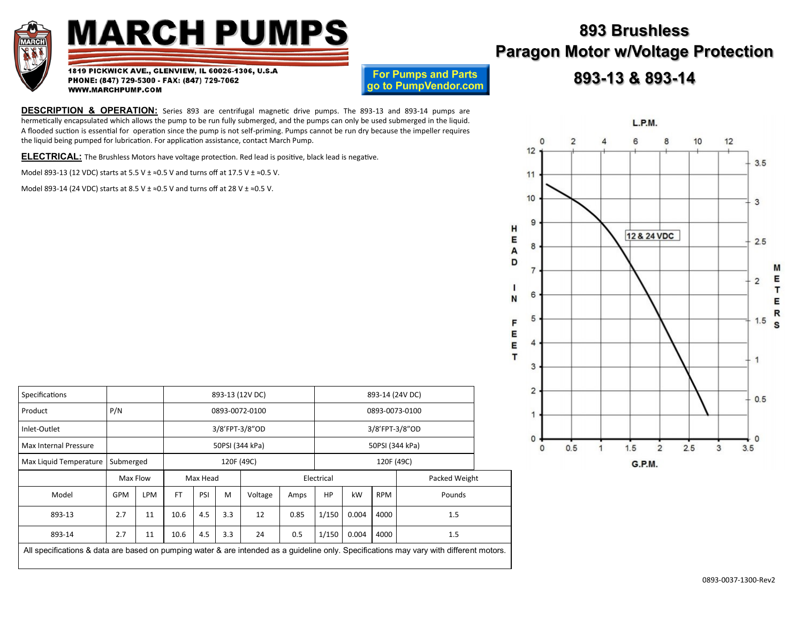

## **MARCH PUMPS**

1819 PICKWICK AVE., GLENVIEW, IL 60026-1306, U.S.A PHONE: (847) 729-5300 - FAX: (847) 729-7062 WWW.MARCHPUMP.COM

**For Pumps and Parts** go to PumpVendor.com

**DESCRIPTION & OPERATION:** Series 893 are centrifugal magnetic drive pumps. The 893-13 and 893-14 pumps are hermetically encapsulated which allows the pump to be run fully submerged, and the pumps can only be used submerged in the liquid. A flooded suction is essential for operation since the pump is not self-priming. Pumps cannot be run dry because the impeller requires the liquid being pumped for lubrication. For application assistance, contact March Pump.

**ELECTRICAL:** The Brushless Motors have voltage protection. Red lead is positive, black lead is negative.

Model 893-13 (12 VDC) starts at 5.5 V  $\pm \approx 0.5$  V and turns off at 17.5 V  $\pm \approx 0.5$  V.

Model 893-14 (24 VDC) starts at 8.5 V  $\pm \approx 0.5$  V and turns off at 28 V  $\pm \approx 0.5$  V.

| Specifications                                                                                                                          |            |            | 893-13 (12V DC) |                |                 |         |                             |                 |                |            |        |  |  |
|-----------------------------------------------------------------------------------------------------------------------------------------|------------|------------|-----------------|----------------|-----------------|---------|-----------------------------|-----------------|----------------|------------|--------|--|--|
| P/N<br>Product                                                                                                                          |            |            | 0893-0072-0100  |                |                 |         |                             |                 |                |            |        |  |  |
| Inlet-Outlet                                                                                                                            |            |            |                 | 3/8'FPT-3/8"OD |                 |         |                             |                 | 3/8'FPT-3/8"OD |            |        |  |  |
| Max Internal Pressure                                                                                                                   |            |            |                 |                | 50PSI (344 kPa) |         |                             | 50PSI (344 kPa) |                |            |        |  |  |
| Max Liquid Temperature                                                                                                                  | Submerged  |            |                 |                | 120F (49C)      |         |                             | 120F (49C)      |                |            |        |  |  |
|                                                                                                                                         | Max Flow   |            | Max Head        |                |                 |         | Electrical<br>Packed Weight |                 |                |            |        |  |  |
| Model                                                                                                                                   | <b>GPM</b> | <b>LPM</b> | <b>FT</b>       | PSI            | M               | Voltage | Amps                        | HP              | kW             | <b>RPM</b> | Pounds |  |  |
| 893-13                                                                                                                                  | 2.7        | 11         | 10.6            | 4.5            | 3.3             | 12      | 0.85                        | 1/150           | 0.004          | 4000       | 1.5    |  |  |
| 893-14                                                                                                                                  | 2.7        | 11         | 10.6            | 4.5            | 3.3             | 24      | 0.5                         | 1/150           | 0.004          | 4000       | 1.5    |  |  |
| All specifications & data are based on pumping water & are intended as a guideline only. Specifications may vary with different motors. |            |            |                 |                |                 |         |                             |                 |                |            |        |  |  |

## **893 Brushless Paragon Motor w/Voltage Protection**

## **893-13 & 893-14**